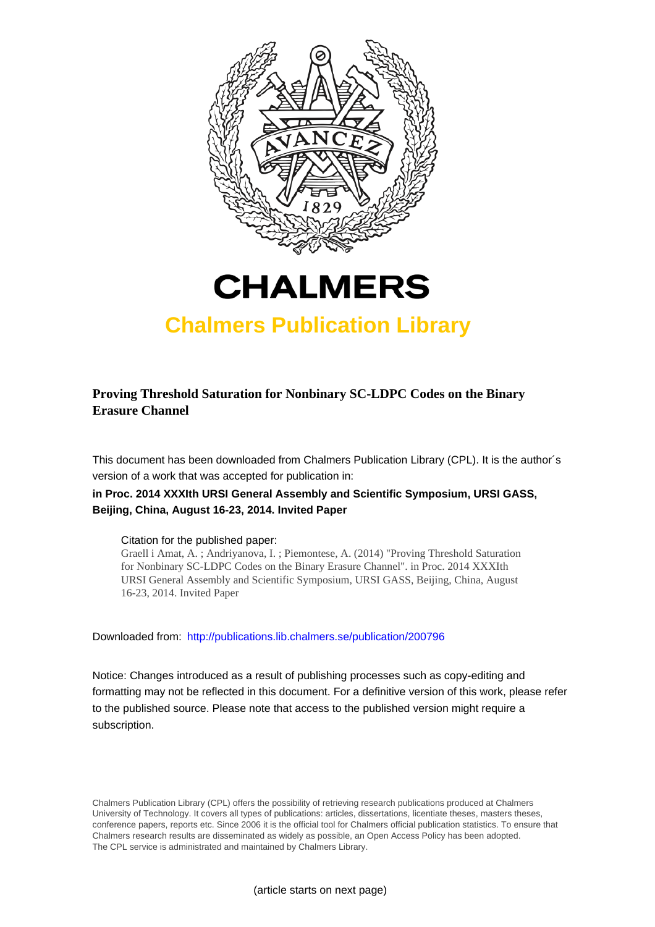



## **Chalmers Publication Library**

## **Proving Threshold Saturation for Nonbinary SC-LDPC Codes on the Binary Erasure Channel**

This document has been downloaded from Chalmers Publication Library (CPL). It is the author´s version of a work that was accepted for publication in:

## **in Proc. 2014 XXXIth URSI General Assembly and Scientific Symposium, URSI GASS, Beijing, China, August 16-23, 2014. Invited Paper**

## Citation for the published paper:

Graell i Amat, A. ; Andriyanova, I. ; Piemontese, A. (2014) "Proving Threshold Saturation for Nonbinary SC-LDPC Codes on the Binary Erasure Channel". in Proc. 2014 XXXIth URSI General Assembly and Scientific Symposium, URSI GASS, Beijing, China, August 16-23, 2014. Invited Paper

Downloaded from: <http://publications.lib.chalmers.se/publication/200796>

Notice: Changes introduced as a result of publishing processes such as copy-editing and formatting may not be reflected in this document. For a definitive version of this work, please refer to the published source. Please note that access to the published version might require a subscription.

Chalmers Publication Library (CPL) offers the possibility of retrieving research publications produced at Chalmers University of Technology. It covers all types of publications: articles, dissertations, licentiate theses, masters theses, conference papers, reports etc. Since 2006 it is the official tool for Chalmers official publication statistics. To ensure that Chalmers research results are disseminated as widely as possible, an Open Access Policy has been adopted. The CPL service is administrated and maintained by Chalmers Library.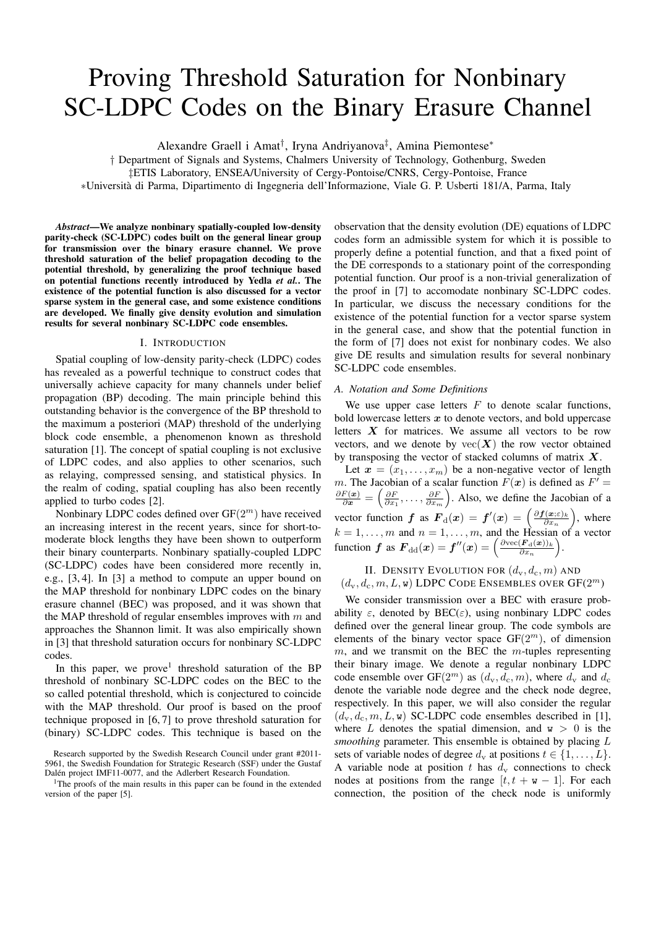# Proving Threshold Saturation for Nonbinary SC-LDPC Codes on the Binary Erasure Channel

Alexandre Graell i Amat† , Iryna Andriyanova‡ , Amina Piemontese<sup>∗</sup>

† Department of Signals and Systems, Chalmers University of Technology, Gothenburg, Sweden

‡ETIS Laboratory, ENSEA/University of Cergy-Pontoise/CNRS, Cergy-Pontoise, France

∗Universita di Parma, Dipartimento di Ingegneria dell'Informazione, Viale G. P. Usberti 181/A, Parma, Italy `

*Abstract*—We analyze nonbinary spatially-coupled low-density parity-check (SC-LDPC) codes built on the general linear group for transmission over the binary erasure channel. We prove threshold saturation of the belief propagation decoding to the potential threshold, by generalizing the proof technique based on potential functions recently introduced by Yedla *et al.*. The existence of the potential function is also discussed for a vector sparse system in the general case, and some existence conditions are developed. We finally give density evolution and simulation results for several nonbinary SC-LDPC code ensembles.

#### I. INTRODUCTION

Spatial coupling of low-density parity-check (LDPC) codes has revealed as a powerful technique to construct codes that universally achieve capacity for many channels under belief propagation (BP) decoding. The main principle behind this outstanding behavior is the convergence of the BP threshold to the maximum a posteriori (MAP) threshold of the underlying block code ensemble, a phenomenon known as threshold saturation [1]. The concept of spatial coupling is not exclusive of LDPC codes, and also applies to other scenarios, such as relaying, compressed sensing, and statistical physics. In the realm of coding, spatial coupling has also been recently applied to turbo codes [2].

Nonbinary LDPC codes defined over  $GF(2^m)$  have received an increasing interest in the recent years, since for short-tomoderate block lengths they have been shown to outperform their binary counterparts. Nonbinary spatially-coupled LDPC (SC-LDPC) codes have been considered more recently in, e.g., [3, 4]. In [3] a method to compute an upper bound on the MAP threshold for nonbinary LDPC codes on the binary erasure channel (BEC) was proposed, and it was shown that the MAP threshold of regular ensembles improves with  $m$  and approaches the Shannon limit. It was also empirically shown in [3] that threshold saturation occurs for nonbinary SC-LDPC codes.

In this paper, we prove<sup>1</sup> threshold saturation of the BP threshold of nonbinary SC-LDPC codes on the BEC to the so called potential threshold, which is conjectured to coincide with the MAP threshold. Our proof is based on the proof technique proposed in [6, 7] to prove threshold saturation for (binary) SC-LDPC codes. This technique is based on the observation that the density evolution (DE) equations of LDPC codes form an admissible system for which it is possible to properly define a potential function, and that a fixed point of the DE corresponds to a stationary point of the corresponding potential function. Our proof is a non-trivial generalization of the proof in [7] to accomodate nonbinary SC-LDPC codes. In particular, we discuss the necessary conditions for the existence of the potential function for a vector sparse system in the general case, and show that the potential function in the form of [7] does not exist for nonbinary codes. We also give DE results and simulation results for several nonbinary SC-LDPC code ensembles.

#### *A. Notation and Some Definitions*

We use upper case letters  $F$  to denote scalar functions, bold lowercase letters  $x$  to denote vectors, and bold uppercase letters  $X$  for matrices. We assume all vectors to be row vectors, and we denote by  $\text{vec}(\boldsymbol{X})$  the row vector obtained by transposing the vector of stacked columns of matrix  $X$ .

Let  $\mathbf{x} = (x_1, \dots, x_m)$  be a non-negative vector of length m. The Jacobian of a scalar function  $F(x)$  is defined as  $F' =$  $\frac{\partial F(x)}{\partial x} = \left(\frac{\partial F}{\partial x_1}, \dots, \frac{\partial F}{\partial x_m}\right)$ . Also, we define the Jacobian of a vector function f as  $\mathbf{F}_{d}(x) = f'(x) = \left(\frac{\partial f(x;\varepsilon)_{k}}{\partial x_{n}}\right)$  $\left(\frac{\mathbf{x}}{\partial x_n}\right)$ , where  $k = 1, \ldots, m$  and  $n = 1, \ldots, m$ , and the Hessian of a vector function f as  $\mathbf{F}_{dd}(\mathbf{x}) = \mathbf{f}''(\mathbf{x}) = \left(\frac{\partial \text{vec}(\mathbf{F}_{d}(\mathbf{x}))_k}{\partial x_{m}}\right)$  $\frac{(\boldsymbol{F}_{\mathrm{d}}(\boldsymbol{x}))_k}{\partial x_n} \bigg).$ 

## II. DENSITY EVOLUTION FOR  $(d_v, d_c, m)$  AND  $(d_{\mathrm{v}}, d_{\mathrm{c}}, m, L, \mathbf{w})$  LDPC CODE ENSEMBLES OVER  $\mathrm{GF}(2^m)$

We consider transmission over a BEC with erasure probability  $\varepsilon$ , denoted by BEC( $\varepsilon$ ), using nonbinary LDPC codes defined over the general linear group. The code symbols are elements of the binary vector space  $GF(2^m)$ , of dimension  $m$ , and we transmit on the BEC the  $m$ -tuples representing their binary image. We denote a regular nonbinary LDPC code ensemble over GF( $2^m$ ) as  $(d_v, d_c, m)$ , where  $d_v$  and  $d_c$ denote the variable node degree and the check node degree, respectively. In this paper, we will also consider the regular  $(d_v, d_c, m, L, w)$  SC-LDPC code ensembles described in [1], where L denotes the spatial dimension, and  $w > 0$  is the *smoothing* parameter. This ensemble is obtained by placing L sets of variable nodes of degree  $d_v$  at positions  $t \in \{1, \ldots, L\}$ . A variable node at position t has  $d_v$  connections to check nodes at positions from the range  $[t, t + w - 1]$ . For each connection, the position of the check node is uniformly

Research supported by the Swedish Research Council under grant #2011- 5961, the Swedish Foundation for Strategic Research (SSF) under the Gustaf Dalén project IMF11-0077, and the Adlerbert Research Foundation.

<sup>&</sup>lt;sup>1</sup>The proofs of the main results in this paper can be found in the extended version of the paper [5].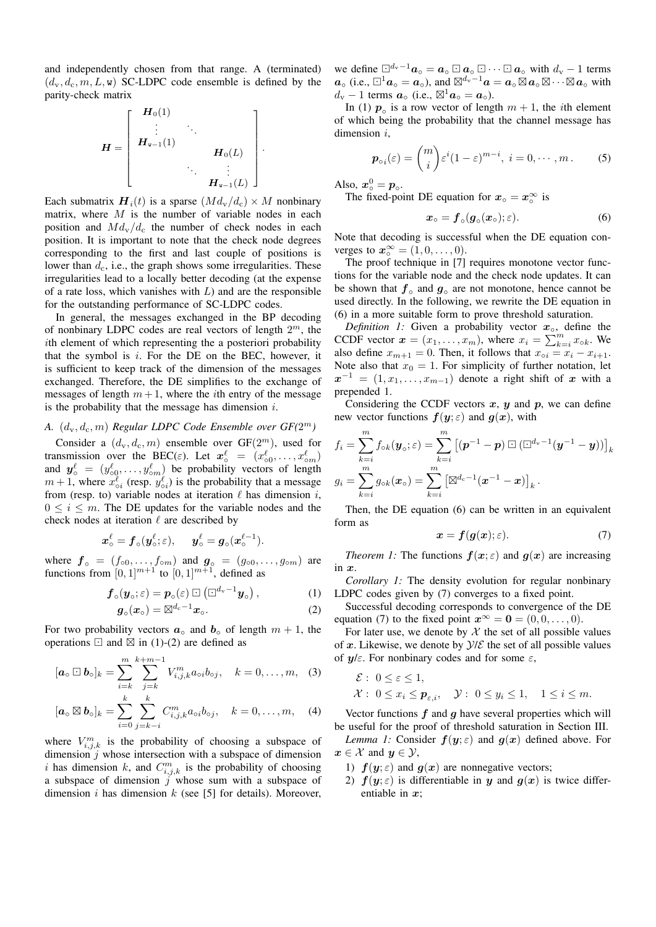and independently chosen from that range. A (terminated)  $(d_v, d_c, m, L, w)$  SC-LDPC code ensemble is defined by the parity-check matrix

$$
H = \begin{bmatrix} H_0(1) & & & \\ \vdots & \ddots & & \\ H_{n-1}(1) & & & \\ & \ddots & & \vdots \\ & & \ddots & \vdots \\ & & & H_{n-1}(L) \end{bmatrix}.
$$

Each submatrix  $\mathbf{H}_i(t)$  is a sparse  $(M d_{\rm v}/d_c) \times M$  nonbinary matrix, where  $M$  is the number of variable nodes in each position and  $Md_v/d_c$  the number of check nodes in each position. It is important to note that the check node degrees corresponding to the first and last couple of positions is lower than  $d_c$ , i.e., the graph shows some irregularities. These irregularities lead to a locally better decoding (at the expense of a rate loss, which vanishes with  $L$ ) and are the responsible for the outstanding performance of SC-LDPC codes.

In general, the messages exchanged in the BP decoding of nonbinary LDPC codes are real vectors of length  $2<sup>m</sup>$ , the ith element of which representing the a posteriori probability that the symbol is  $i$ . For the DE on the BEC, however, it is sufficient to keep track of the dimension of the messages exchanged. Therefore, the DE simplifies to the exchange of messages of length  $m + 1$ , where the *i*th entry of the message is the probability that the message has dimension  $i$ .

## A.  $(d_v, d_c, m)$  *Regular LDPC Code Ensemble over*  $GF(2^m)$

Consider a  $(d_v, d_c, m)$  ensemble over  $GF(2<sup>m</sup>)$ , used for transmission over the BEC( $\varepsilon$ ). Let  $\mathbf{x}_{\circ}^{\ell} = (x_{\circ 0}^{\ell}, \dots, x_{\circ m}^{\ell})$ and  $y_0^{\ell} = (y_{00}^{\ell}, \dots, y_{0m}^{\ell})$  be probability vectors of length  $m+1$ , where  $x_{oi}^{\ell}$  (resp.  $y_{oi}^{\ell}$ ) is the probability that a message from (resp. to) variable nodes at iteration  $\ell$  has dimension i,  $0 \leq i \leq m$ . The DE updates for the variable nodes and the check nodes at iteration  $\ell$  are described by

$$
\boldsymbol{x}^\ell_\circ = \boldsymbol{f}_\circ(\boldsymbol{y}^\ell_\circ;\varepsilon), \quad \boldsymbol{y}^\ell_\circ = \boldsymbol{g}_\circ(\boldsymbol{x}^{\ell-1}_\circ).
$$

where  $\boldsymbol{f}$ <sub>o</sub> =  $(f_{\circ 0}, \ldots, f_{\circ m})$  and  $\boldsymbol{g}_{\circ}$  =  $(g_{\circ 0}, \ldots, g_{\circ m})$  are functions from  $[0,1]^{m+1}$  to  $[0,1]^{m+1}$ , defined as

$$
\boldsymbol{f}_{\circ}(\boldsymbol{y}_{\circ};\varepsilon)=\boldsymbol{p}_{\circ}(\varepsilon)\boxdot\left(\Box^{d_{\rm v}-1}\boldsymbol{y}_{\circ}\right),\qquad\qquad(1)
$$

$$
\boldsymbol{g}_{\circ}(\boldsymbol{x}_{\circ}) = \boxtimes^{d_{\rm c}-1} \boldsymbol{x}_{\circ}. \tag{2}
$$

For two probability vectors  $a_0$  and  $b_0$  of length  $m + 1$ , the operations  $\Box$  and  $\overline{\boxtimes}$  in (1)-(2) are defined as

$$
[\bm{a}_{\circ} \boxdot \bm{b}_{\circ}]_k = \sum_{i=k}^m \sum_{j=k}^{k+m-1} V_{i,j,k}^m a_{\circ i} b_{\circ j}, \quad k = 0, \ldots, m, \quad (3)
$$

$$
[\boldsymbol{a}_{\circ} \boxtimes \boldsymbol{b}_{\circ}]_k = \sum_{i=0}^k \sum_{j=k-i}^k C_{i,j,k}^m a_{\circ i} b_{\circ j}, \quad k = 0, \dots, m, \quad (4)
$$

where  $V_{i,j,k}^m$  is the probability of choosing a subspace of dimension  $j$  whose intersection with a subspace of dimension i has dimension k, and  $C_{i,j,k}^m$  is the probability of choosing a subspace of dimension  $\hat{j}$  whose sum with a subspace of dimension i has dimension  $k$  (see [5] for details). Moreover,

we define  $\Box^{d_v-1}a_\circ = a_\circ \Box a_\circ \Box \cdots \Box a_\circ$  with  $d_v - 1$  terms  $a_0$  (i.e.,  $\Box^1 a_0 = a_0$ ), and  $\boxtimes^{d_v-1} a = a_0 \boxtimes a_0 \boxtimes \cdots \boxtimes a_0$  with  $d_{v} - 1$  terms  $\boldsymbol{a}_{o}$  (i.e.,  $\boxtimes^{1} \boldsymbol{a}_{o} = \boldsymbol{a}_{o}$ ).

In (1)  $p_0$  is a row vector of length  $m + 1$ , the *i*th element of which being the probability that the channel message has dimension  $i$ ,

$$
\boldsymbol{p}_{\circ i}(\varepsilon) = \binom{m}{i} \varepsilon^i (1-\varepsilon)^{m-i}, \ i = 0, \cdots, m. \tag{5}
$$

Also,  $x^0_\circ = p_\circ$ .

The fixed-point DE equation for  $x_0 = x_0^{\infty}$  is

$$
x_{\circ} = \boldsymbol{f}_{\circ}(\boldsymbol{g}_{\circ}(\boldsymbol{x}_{\circ}); \varepsilon). \tag{6}
$$

Note that decoding is successful when the DE equation converges to  $\mathbf{x}_{\circ}^{\infty} = (1, 0, \dots, 0).$ 

The proof technique in [7] requires monotone vector functions for the variable node and the check node updates. It can be shown that  $f_\circ$  and  $g_\circ$  are not monotone, hence cannot be used directly. In the following, we rewrite the DE equation in (6) in a more suitable form to prove threshold saturation.

*Definition 1:* Given a probability vector  $x_{\circ}$ , define the CCDF vector  $\mathbf{x} = (x_1, \ldots, x_m)$ , where  $x_i = \sum_{k=i}^m x_{\text{ok}}$ . We also define  $x_{m+1} = 0$ . Then, it follows that  $x_{\circ i} = x_i - x_{i+1}$ . Note also that  $x_0 = 1$ . For simplicity of further notation, let  $x^{-1} = (1, x_1, \ldots, x_{m-1})$  denote a right shift of x with a prepended 1.

Considering the CCDF vectors  $x$ ,  $y$  and  $p$ , we can define new vector functions  $f(y; \varepsilon)$  and  $g(x)$ , with

$$
f_i = \sum_{k=i}^m f_{\circ k}(\mathbf{y}_{\circ}; \varepsilon) = \sum_{k=i}^m \left[ (\mathbf{p}^{-1} - \mathbf{p}) \boxdot (\boxdot^{d_{\mathrm{v}}-1}(\mathbf{y}^{-1} - \mathbf{y})) \right]_k
$$
  

$$
g_i = \sum_{k=i}^m g_{\circ k}(\mathbf{x}_{\circ}) = \sum_{k=i}^m \left[ \boxtimes^{d_{\mathrm{c}}-1} (\mathbf{x}^{-1} - \mathbf{x}) \right]_k.
$$

Then, the DE equation (6) can be written in an equivalent form as

$$
\boldsymbol{x} = \boldsymbol{f}(\boldsymbol{g}(\boldsymbol{x}); \varepsilon). \tag{7}
$$

*Theorem 1:* The functions  $f(x; \varepsilon)$  and  $g(x)$  are increasing in  $x$ .

*Corollary 1:* The density evolution for regular nonbinary LDPC codes given by (7) converges to a fixed point.

Successful decoding corresponds to convergence of the DE equation (7) to the fixed point  $\mathbf{x}^{\infty} = \mathbf{0} = (0, 0, \dots, 0)$ .

For later use, we denote by  $X$  the set of all possible values of x. Likewise, we denote by  $\mathcal{Y}/\mathcal{E}$  the set of all possible values of  $\mathbf{u}/\varepsilon$ . For nonbinary codes and for some  $\varepsilon$ ,

$$
\mathcal{E}: 0 \le \varepsilon \le 1,
$$
  

$$
\mathcal{X}: 0 \le x_i \le \mathbf{p}_{\varepsilon,i}, \quad \mathcal{Y}: 0 \le y_i \le 1, \quad 1 \le i \le m.
$$

Vector functions  $f$  and  $g$  have several properties which will be useful for the proof of threshold saturation in Section III.

*Lemma 1:* Consider  $f(y; \varepsilon)$  and  $g(x)$  defined above. For  $x \in \mathcal{X}$  and  $y \in \mathcal{Y}$ ,

- 1)  $f(y; \varepsilon)$  and  $g(x)$  are nonnegative vectors;
- 2)  $f(y; \varepsilon)$  is differentiable in y and  $g(x)$  is twice differentiable in  $x$ ;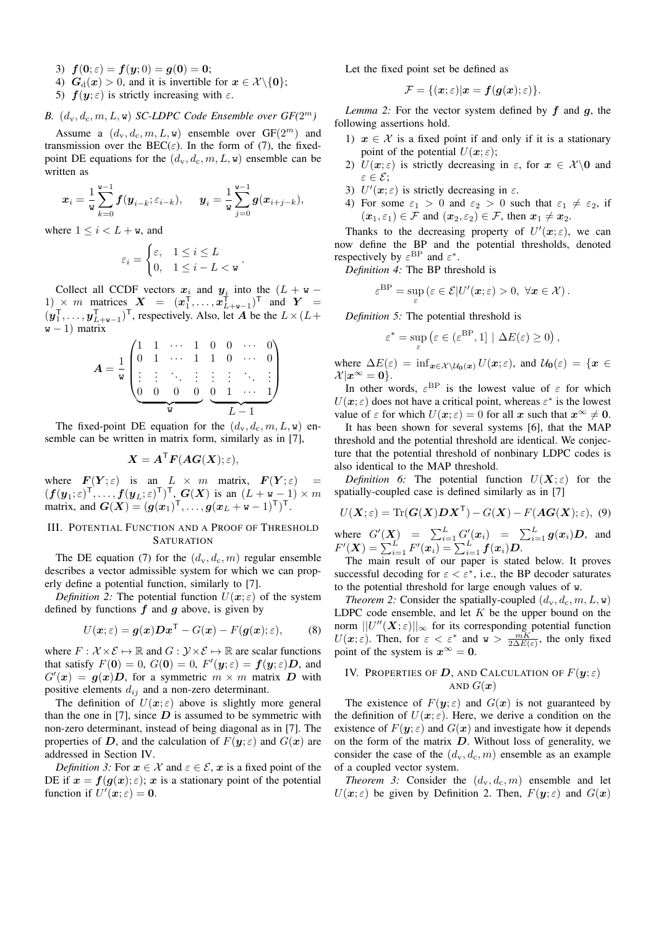- 3)  $f(0; \varepsilon) = f(y; 0) = g(0) = 0;$
- 4)  $G_d(x) > 0$ , and it is invertible for  $x \in \mathcal{X} \setminus \{0\};$
- 5)  $f(y; \varepsilon)$  is strictly increasing with  $\varepsilon$ .
- **B.**  $(d_v, d_c, m, L, w)$  *SC-LDPC Code Ensemble over*  $GF(2^m)$

Assume a  $(d_v, d_c, m, L, w)$  ensemble over  $GF(2^m)$  and transmission over the BEC( $\varepsilon$ ). In the form of (7), the fixedpoint DE equations for the  $(d_v, d_c, m, L, w)$  ensemble can be written as

$$
\boldsymbol{x}_i = \frac{1}{\mathsf{w}} \sum_{k=0}^{\mathsf{w}-1} \boldsymbol{f}(\boldsymbol{y}_{i-k}; \varepsilon_{i-k}), \quad \boldsymbol{y}_i = \frac{1}{\mathsf{w}} \sum_{j=0}^{\mathsf{w}-1} \boldsymbol{g}(\boldsymbol{x}_{i+j-k}),
$$

where  $1 \leq i < L + \mathbf{w}$ , and

$$
\varepsilon_i = \begin{cases} \varepsilon, & 1 \le i \le L \\ 0, & 1 \le i - L < \mathbf{w} \end{cases}
$$

.

Collect all CCDF vectors  $x_i$  and  $y_i$  into the  $(L + w -$ 1) × m matrices  $X = (x_1^\mathsf{T}, \dots, x_{L+w-1}^\mathsf{T})^\mathsf{T}$  and  $Y =$  $(\boldsymbol{y}_1^{\mathsf{T}}, \dots, \boldsymbol{y}_{L+w-1}^{\mathsf{T}})^{\mathsf{T}}$ , respectively. Also, let A be the  $L \times (L+\mathcal{I}_{L}^{\mathsf{T}})$  $w - 1$ ) matrix

$$
A = \frac{1}{w} \begin{pmatrix} 1 & 1 & \cdots & 1 & 0 & 0 & \cdots & 0 \\ 0 & 1 & \cdots & 1 & 1 & 0 & \cdots & 0 \\ \vdots & \vdots & \ddots & \vdots & \vdots & \vdots & \ddots & \vdots \\ 0 & 0 & 0 & 0 & 0 & 1 & \cdots & 1 \\ \hline w & & & & L-1 & & \end{pmatrix}
$$

The fixed-point DE equation for the  $(d_v, d_c, m, L, w)$  ensemble can be written in matrix form, similarly as in [7],

$$
\boldsymbol{X} = \boldsymbol{A}^{\mathsf{T}} \boldsymbol{F}(\boldsymbol{A}\boldsymbol{G}(\boldsymbol{X});\varepsilon),
$$

where  $F(Y; \varepsilon)$  is an  $L \times m$  matrix,  $F(Y; \varepsilon)$  =  $(f(\bm{y}_1;\varepsilon)^\mathsf{T},\ldots,f(\bm{y}_L;\varepsilon)^\mathsf{T})^\mathsf{T},$   $\bm{G}(\bm{X})$  is an  $(L+\bm{\mathsf{w}}-1)\times m$ matrix, and  $G(X) = (g(x_1)^T, \ldots, g(x_L + w - 1)^T)^T$ .

## III. POTENTIAL FUNCTION AND A PROOF OF THRESHOLD **SATURATION**

The DE equation (7) for the  $(d_v, d_c, m)$  regular ensemble describes a vector admissible system for which we can properly define a potential function, similarly to [7].

*Definition 2:* The potential function  $U(x;\varepsilon)$  of the system defined by functions  $f$  and  $g$  above, is given by

$$
U(\boldsymbol{x};\varepsilon) = \boldsymbol{g}(\boldsymbol{x})\boldsymbol{D}\boldsymbol{x}^{\mathsf{T}} - G(\boldsymbol{x}) - F(\boldsymbol{g}(\boldsymbol{x});\varepsilon),\qquad(8)
$$

where  $F : \mathcal{X} \times \mathcal{E} \mapsto \mathbb{R}$  and  $G : \mathcal{Y} \times \mathcal{E} \mapsto \mathbb{R}$  are scalar functions that satisfy  $F(\mathbf{0}) = 0$ ,  $G(\mathbf{0}) = 0$ ,  $F'(\mathbf{y}; \varepsilon) = \mathbf{f}(\mathbf{y}; \varepsilon) \mathbf{D}$ , and  $G'(x) = g(x)D$ , for a symmetric  $m \times m$  matrix D with positive elements  $d_{ij}$  and a non-zero determinant.

The definition of  $U(x; \varepsilon)$  above is slightly more general than the one in [7], since  $D$  is assumed to be symmetric with non-zero determinant, instead of being diagonal as in [7]. The properties of D, and the calculation of  $F(y; \varepsilon)$  and  $G(x)$  are addressed in Section IV.

*Definition 3:* For  $x \in \mathcal{X}$  and  $\varepsilon \in \mathcal{E}$ , x is a fixed point of the DE if  $x = f(g(x); \varepsilon)$ ; x is a stationary point of the potential function if  $U'(\boldsymbol{x};\varepsilon) = \mathbf{0}$ .

Let the fixed point set be defined as

$$
\mathcal{F} = \{(\boldsymbol{x}; \varepsilon) | \boldsymbol{x} = \boldsymbol{f}(\boldsymbol{g}(\boldsymbol{x}); \varepsilon)\}.
$$

*Lemma 2:* For the vector system defined by  $f$  and  $g$ , the following assertions hold.

- 1)  $x \in \mathcal{X}$  is a fixed point if and only if it is a stationary point of the potential  $U(\boldsymbol{x};\varepsilon);$
- 2)  $U(x;\varepsilon)$  is strictly decreasing in  $\varepsilon$ , for  $x \in \mathcal{X}\backslash{0}$  and ε ∈ E;
- 3)  $U'(x; \varepsilon)$  is strictly decreasing in  $\varepsilon$ .
- 4) For some  $\varepsilon_1 > 0$  and  $\varepsilon_2 > 0$  such that  $\varepsilon_1 \neq \varepsilon_2$ , if  $(x_1, \varepsilon_1) \in \mathcal{F}$  and  $(x_2, \varepsilon_2) \in \mathcal{F}$ , then  $x_1 \neq x_2$ .

Thanks to the decreasing property of  $U'(\boldsymbol{x};\varepsilon)$ , we can now define the BP and the potential thresholds, denoted respectively by  $\varepsilon^{\text{BP}}$  and  $\varepsilon^*$ .

*Definition 4:* The BP threshold is

$$
\varepsilon^{\mathrm{BP}} = \sup_{\varepsilon} \left( \varepsilon \in \mathcal{E} | U'(x;\varepsilon) > 0, \ \forall x \in \mathcal{X} \right).
$$

*Definition 5:* The potential threshold is

$$
\varepsilon^* = \sup_{\varepsilon} \left( \varepsilon \in (\varepsilon^{\mathrm{BP}}, 1] \mid \Delta E(\varepsilon) \ge 0 \right),
$$

where  $\Delta E(\varepsilon) = \inf_{\mathbf{x} \in \mathcal{X} \setminus \mathcal{U}_0(\mathbf{x})} U(\mathbf{x}; \varepsilon)$ , and  $\mathcal{U}_0(\varepsilon) = \{ \mathbf{x} \in \mathcal{X} \setminus \mathcal{U}_1(\varepsilon) \}$  $\mathcal{X}|x^{\infty} = 0$ .

In other words,  $\varepsilon^{\text{BP}}$  is the lowest value of  $\varepsilon$  for which  $U(\boldsymbol{x};\varepsilon)$  does not have a critical point, whereas  $\varepsilon^*$  is the lowest value of  $\varepsilon$  for which  $U(\mathbf{x}; \varepsilon) = 0$  for all  $\mathbf{x}$  such that  $\mathbf{x}^{\infty} \neq \mathbf{0}$ .

It has been shown for several systems [6], that the MAP threshold and the potential threshold are identical. We conjecture that the potential threshold of nonbinary LDPC codes is also identical to the MAP threshold.

*Definition 6:* The potential function  $U(X;\varepsilon)$  for the spatially-coupled case is defined similarly as in [7]

$$
U(\boldsymbol{X};\varepsilon) = \text{Tr}(\boldsymbol{G}(\boldsymbol{X})\boldsymbol{D}\boldsymbol{X}^{\mathsf{T}}) - G(\boldsymbol{X}) - F(\boldsymbol{A}\boldsymbol{G}(\boldsymbol{X});\varepsilon),\,\,(9)
$$

where  $G'(\boldsymbol{X}) = \sum_{i=1}^{L} G'_{i}(\boldsymbol{x}_{i}) = \sum_{i=1}^{L} g(\boldsymbol{x}_{i}) \boldsymbol{D}$ , and  $F'(\bm{X}) = \sum_{i=1}^{L} F'(\bm{x}_i) = \sum_{i=1}^{L} f(\bm{x}_i) \bm{D}.$ 

The main result of our paper is stated below. It proves successful decoding for  $\varepsilon < \varepsilon^*$ , i.e., the BP decoder saturates to the potential threshold for large enough values of w.

*Theorem 2:* Consider the spatially-coupled  $(d_v, d_c, m, L, w)$ LDPC code ensemble, and let  $K$  be the upper bound on the norm  $||U''(\boldsymbol{X};\varepsilon)||_{\infty}$  for its corresponding potential function  $U(\boldsymbol{x}; \varepsilon)$ . Then, for  $\varepsilon < \varepsilon^*$  and  $w > \frac{m}{2\Delta E(\varepsilon)}$ , the only fixed point of the system is  $x^{\infty} = 0$ .

### IV. PROPERTIES OF D, AND CALCULATION OF  $F(\mathbf{y}; \varepsilon)$ AND  $G(\boldsymbol{x})$

The existence of  $F(y; \varepsilon)$  and  $G(x)$  is not guaranteed by the definition of  $U(x; \varepsilon)$ . Here, we derive a condition on the existence of  $F(y; \varepsilon)$  and  $G(x)$  and investigate how it depends on the form of the matrix  $D$ . Without loss of generality, we consider the case of the  $(d_v, d_c, m)$  ensemble as an example of a coupled vector system.

*Theorem 3:* Consider the  $(d_v, d_c, m)$  ensemble and let  $U(\boldsymbol{x}; \varepsilon)$  be given by Definition 2. Then,  $F(\boldsymbol{y}; \varepsilon)$  and  $G(\boldsymbol{x})$